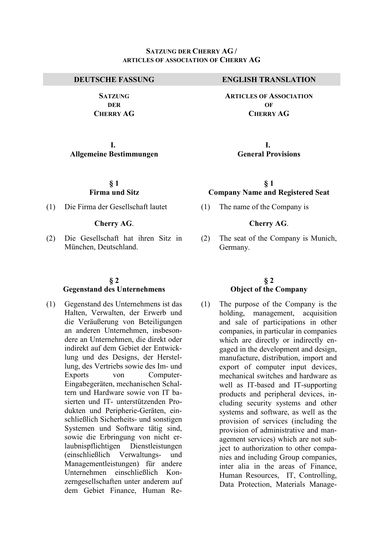**SATZUNG DER CHERRY AG**

**I. Allgemeine Bestimmungen** 

### **§ 1 Firma und Sitz**

(1) Die Firma der Gesellschaft lautet (1) The name of the Company is

#### **Cherry AG**. **Cherry AG**.

(2) Die Gesellschaft hat ihren Sitz in München, Deutschland.

#### **§ 2 Gegenstand des Unternehmens**

(1) Gegenstand des Unternehmens ist das Halten, Verwalten, der Erwerb und die Veräußerung von Beteiligungen an anderen Unternehmen, insbesondere an Unternehmen, die direkt oder indirekt auf dem Gebiet der Entwicklung und des Designs, der Herstellung, des Vertriebs sowie des Im- und Exports von Computer-Eingabegeräten, mechanischen Schaltern und Hardware sowie von IT basierten und IT- unterstützenden Produkten und Peripherie-Geräten, einschließlich Sicherheits- und sonstigen Systemen und Software tätig sind, sowie die Erbringung von nicht erlaubnispflichtigen Dienstleistungen (einschließlich Verwaltungs- und Managementleistungen) für andere Unternehmen einschließlich Konzerngesellschaften unter anderem auf dem Gebiet Finance, Human Re-

#### **DEUTSCHE FASSUNG ENGLISH TRANSLATION**

**ARTICLES OF ASSOCIATION**  $\Omega$ **F CHERRY AG**

> **I. General Provisions**

# **§ 1 Company Name and Registered Seat**

(2) The seat of the Company is Munich, Germany.

### **§ 2 Object of the Company**

(1) The purpose of the Company is the holding, management, acquisition and sale of participations in other companies, in particular in companies which are directly or indirectly engaged in the development and design, manufacture, distribution, import and export of computer input devices, mechanical switches and hardware as well as IT-based and IT-supporting products and peripheral devices, including security systems and other systems and software, as well as the provision of services (including the provision of administrative and management services) which are not subject to authorization to other companies and including Group companies, inter alia in the areas of Finance, Human Resources, IT, Controlling, Data Protection, Materials Manage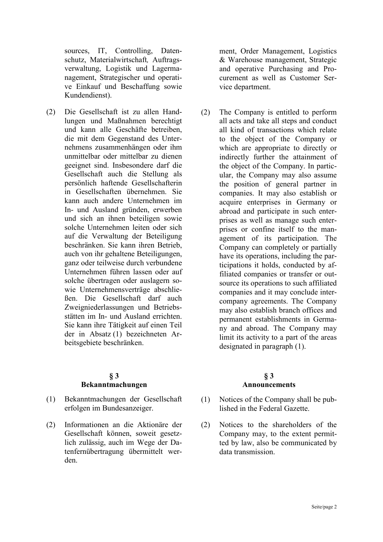sources, IT, Controlling, Datenschutz, Materialwirtschaft*,* Auftragsverwaltung, Logistik und Lagermanagement, Strategischer und operative Einkauf und Beschaffung sowie Kundendienst).

(2) Die Gesellschaft ist zu allen Handlungen und Maßnahmen berechtigt und kann alle Geschäfte betreiben, die mit dem Gegenstand des Unternehmens zusammenhängen oder ihm unmittelbar oder mittelbar zu dienen geeignet sind. Insbesondere darf die Gesellschaft auch die Stellung als persönlich haftende Gesellschafterin in Gesellschaften übernehmen. Sie kann auch andere Unternehmen im In- und Ausland gründen, erwerben und sich an ihnen beteiligen sowie solche Unternehmen leiten oder sich auf die Verwaltung der Beteiligung beschränken. Sie kann ihren Betrieb, auch von ihr gehaltene Beteiligungen, ganz oder teilweise durch verbundene Unternehmen führen lassen oder auf solche übertragen oder auslagern sowie Unternehmensverträge abschließen. Die Gesellschaft darf auch Zweigniederlassungen und Betriebsstätten im In- und Ausland errichten. Sie kann ihre Tätigkeit auf einen Teil der in Absatz (1) bezeichneten Arbeitsgebiete beschränken.

#### **§ 3 Bekanntmachungen**

- (1) Bekanntmachungen der Gesellschaft erfolgen im Bundesanzeiger.
- (2) Informationen an die Aktionäre der Gesellschaft können, soweit gesetzlich zulässig, auch im Wege der Datenfernübertragung übermittelt werden.

ment, Order Management, Logistics & Warehouse management, Strategic and operative Purchasing and Procurement as well as Customer Service department.

(2) The Company is entitled to perform all acts and take all steps and conduct all kind of transactions which relate to the object of the Company or which are appropriate to directly or indirectly further the attainment of the object of the Company. In particular, the Company may also assume the position of general partner in companies. It may also establish or acquire enterprises in Germany or abroad and participate in such enterprises as well as manage such enterprises or confine itself to the management of its participation. The Company can completely or partially have its operations, including the participations it holds, conducted by affiliated companies or transfer or outsource its operations to such affiliated companies and it may conclude intercompany agreements. The Company may also establish branch offices and permanent establishments in Germany and abroad. The Company may limit its activity to a part of the areas designated in paragraph (1).

# **§ 3 Announcements**

- (1) Notices of the Company shall be published in the Federal Gazette.
- (2) Notices to the shareholders of the Company may, to the extent permitted by law, also be communicated by data transmission.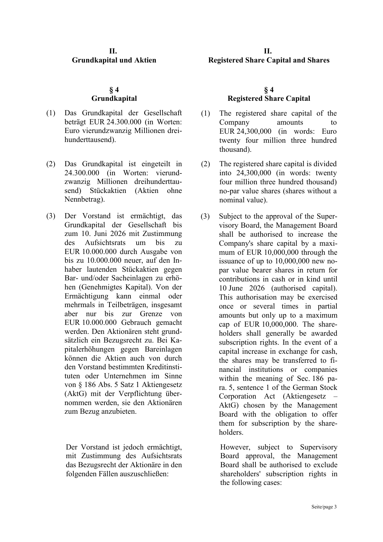# **II. Grundkapital und Aktien**

# **§ 4 Grundkapital**

- (1) Das Grundkapital der Gesellschaft beträgt EUR 24.300.000 (in Worten: Euro vierundzwanzig Millionen dreihunderttausend).
- (2) Das Grundkapital ist eingeteilt in 24.300.000 (in Worten: vierundzwanzig Millionen dreihunderttausend) Stückaktien (Aktien ohne Nennbetrag).
- (3) Der Vorstand ist ermächtigt, das Grundkapital der Gesellschaft bis zum 10. Juni 2026 mit Zustimmung des Aufsichtsrats um bis zu EUR 10.000.000 durch Ausgabe von bis zu 10.000.000 neuer, auf den Inhaber lautenden Stückaktien gegen Bar- und/oder Sacheinlagen zu erhöhen (Genehmigtes Kapital). Von der Ermächtigung kann einmal oder mehrmals in Teilbeträgen, insgesamt aber nur bis zur Grenze von EUR 10.000.000 Gebrauch gemacht werden. Den Aktionären steht grundsätzlich ein Bezugsrecht zu. Bei Kapitalerhöhungen gegen Bareinlagen können die Aktien auch von durch den Vorstand bestimmten Kreditinstituten oder Unternehmen im Sinne von § 186 Abs. 5 Satz 1 Aktiengesetz (AktG) mit der Verpflichtung übernommen werden, sie den Aktionären zum Bezug anzubieten.

Der Vorstand ist jedoch ermächtigt, mit Zustimmung des Aufsichtsrats das Bezugsrecht der Aktionäre in den folgenden Fällen auszuschließen:

# **II. Registered Share Capital and Shares**

# **§ 4 Registered Share Capital**

- (1) The registered share capital of the Company amounts to EUR 24,300,000 (in words: Euro twenty four million three hundred thousand).
- (2) The registered share capital is divided into 24,300,000 (in words: twenty four million three hundred thousand) no-par value shares (shares without a nominal value).
- (3) Subject to the approval of the Supervisory Board, the Management Board shall be authorised to increase the Company's share capital by a maximum of EUR 10,000,000 through the issuance of up to 10,000,000 new nopar value bearer shares in return for contributions in cash or in kind until 10 June 2026 (authorised capital). This authorisation may be exercised once or several times in partial amounts but only up to a maximum cap of EUR 10,000,000. The shareholders shall generally be awarded subscription rights. In the event of a capital increase in exchange for cash, the shares may be transferred to financial institutions or companies within the meaning of Sec. 186 para. 5, sentence 1 of the German Stock Corporation Act (Aktiengesetz – AktG) chosen by the Management Board with the obligation to offer them for subscription by the shareholders.

 However, subject to Supervisory Board approval, the Management Board shall be authorised to exclude shareholders' subscription rights in the following cases: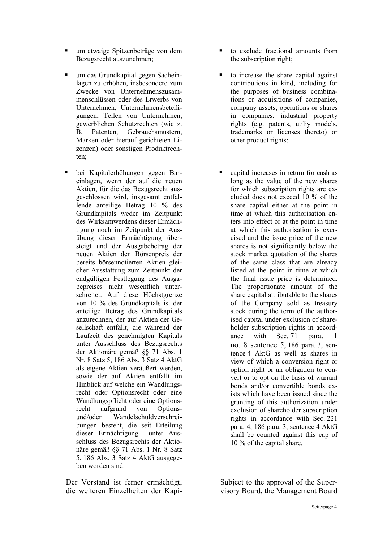- um etwaige Spitzenbeträge von dem Bezugsrecht auszunehmen;
- um das Grundkapital gegen Sacheinlagen zu erhöhen, insbesondere zum Zwecke von Unternehmenszusammenschlüssen oder des Erwerbs von Unternehmen, Unternehmensbeteiligungen, Teilen von Unternehmen, gewerblichen Schutzrechten (wie z. B. Patenten, Gebrauchsmustern, Marken oder hierauf gerichteten Lizenzen) oder sonstigen Produktrechten;
- bei Kapitalerhöhungen gegen Bareinlagen, wenn der auf die neuen Aktien, für die das Bezugsrecht ausgeschlossen wird, insgesamt entfallende anteilige Betrag 10 % des Grundkapitals weder im Zeitpunkt des Wirksamwerdens dieser Ermächtigung noch im Zeitpunkt der Ausübung dieser Ermächtigung übersteigt und der Ausgabebetrag der neuen Aktien den Börsenpreis der bereits börsennotierten Aktien gleicher Ausstattung zum Zeitpunkt der endgültigen Festlegung des Ausgabepreises nicht wesentlich unterschreitet. Auf diese Höchstgrenze von 10 % des Grundkapitals ist der anteilige Betrag des Grundkapitals anzurechnen, der auf Aktien der Gesellschaft entfällt, die während der Laufzeit des genehmigten Kapitals unter Ausschluss des Bezugsrechts der Aktionäre gemäß §§ 71 Abs. 1 Nr. 8 Satz 5, 186 Abs. 3 Satz 4 AktG als eigene Aktien veräußert werden, sowie der auf Aktien entfällt im Hinblick auf welche ein Wandlungsrecht oder Optionsrecht oder eine Wandlungspflicht oder eine Optionsrecht aufgrund von Optionsund/oder Wandelschuldverschreibungen besteht, die seit Erteilung dieser Ermächtigung unter Ausschluss des Bezugsrechts der Aktionäre gemäß §§ 71 Abs. 1 Nr. 8 Satz 5, 186 Abs. 3 Satz 4 AktG ausgegeben worden sind.
- Der Vorstand ist ferner ermächtigt, die weiteren Einzelheiten der Kapi-
- to exclude fractional amounts from the subscription right;
- to increase the share capital against contributions in kind, including for the purposes of business combinations or acquisitions of companies, company assets, operations or shares in companies, industrial property rights (e.g. patents, utiliy models, trademarks or licenses thereto) or other product rights;
- capital increases in return for cash as long as the value of the new shares for which subscription rights are excluded does not exceed 10 % of the share capital either at the point in time at which this authorisation enters into effect or at the point in time at which this authorisation is exercised and the issue price of the new shares is not significantly below the stock market quotation of the shares of the same class that are already listed at the point in time at which the final issue price is determined. The proportionate amount of the share capital attributable to the shares of the Company sold as treasury stock during the term of the authorised capital under exclusion of shareholder subscription rights in accordance with Sec. 71 para. 1 no. 8 sentence 5, 186 para. 3, sentence 4 AktG as well as shares in view of which a conversion right or option right or an obligation to convert or to opt on the basis of warrant bonds and/or convertible bonds exists which have been issued since the granting of this authorization under exclusion of shareholder subscription rights in accordance with Sec. 221 para. 4, 186 para. 3, sentence 4 AktG shall be counted against this cap of 10 % of the capital share.

 Subject to the approval of the Supervisory Board, the Management Board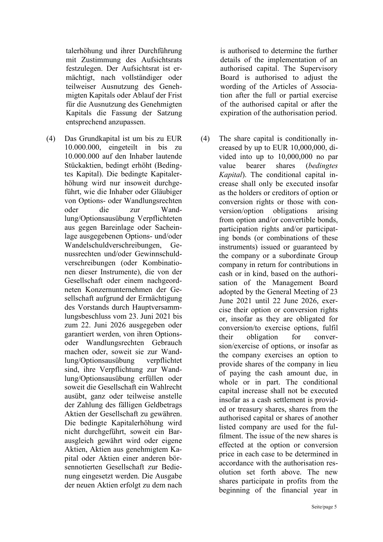talerhöhung und ihrer Durchführung mit Zustimmung des Aufsichtsrats festzulegen. Der Aufsichtsrat ist ermächtigt, nach vollständiger oder teilweiser Ausnutzung des Genehmigten Kapitals oder Ablauf der Frist für die Ausnutzung des Genehmigten Kapitals die Fassung der Satzung entsprechend anzupassen.

(4) Das Grundkapital ist um bis zu EUR 10.000.000, eingeteilt in bis zu 10.000.000 auf den Inhaber lautende Stückaktien, bedingt erhöht (Bedingtes Kapital). Die bedingte Kapitalerhöhung wird nur insoweit durchgeführt, wie die Inhaber oder Gläubiger von Options- oder Wandlungsrechten oder die zur Wandlung/Optionsausübung Verpflichteten aus gegen Bareinlage oder Sacheinlage ausgegebenen Options- und/oder Wandelschuldverschreibungen, Genussrechten und/oder Gewinnschuldverschreibungen (oder Kombinationen dieser Instrumente), die von der Gesellschaft oder einem nachgeordneten Konzernunternehmen der Gesellschaft aufgrund der Ermächtigung des Vorstands durch Hauptversammlungsbeschluss vom 23. Juni 2021 bis zum 22. Juni 2026 ausgegeben oder garantiert werden, von ihren Optionsoder Wandlungsrechten Gebrauch machen oder, soweit sie zur Wandlung/Optionsausübung verpflichtet sind, ihre Verpflichtung zur Wandlung/Optionsausübung erfüllen oder soweit die Gesellschaft ein Wahlrecht ausübt, ganz oder teilweise anstelle der Zahlung des fälligen Geldbetrags Aktien der Gesellschaft zu gewähren. Die bedingte Kapitalerhöhung wird nicht durchgeführt, soweit ein Barausgleich gewährt wird oder eigene Aktien, Aktien aus genehmigtem Kapital oder Aktien einer anderen börsennotierten Gesellschaft zur Bedienung eingesetzt werden. Die Ausgabe der neuen Aktien erfolgt zu dem nach

is authorised to determine the further details of the implementation of an authorised capital. The Supervisory Board is authorised to adjust the wording of the Articles of Association after the full or partial exercise of the authorised capital or after the expiration of the authorisation period.

(4) The share capital is conditionally increased by up to EUR 10,000,000, divided into up to 10,000,000 no par value bearer shares (*bedingtes Kapital*). The conditional capital increase shall only be executed insofar as the holders or creditors of option or conversion rights or those with conversion/option obligations arising from option and/or convertible bonds, participation rights and/or participating bonds (or combinations of these instruments) issued or guaranteed by the company or a subordinate Group company in return for contributions in cash or in kind, based on the authorisation of the Management Board adopted by the General Meeting of 23 June 2021 until 22 June 2026, exercise their option or conversion rights or, insofar as they are obligated for conversion/to exercise options, fulfil their obligation for conversion/exercise of options, or insofar as the company exercises an option to provide shares of the company in lieu of paying the cash amount due, in whole or in part. The conditional capital increase shall not be executed insofar as a cash settlement is provided or treasury shares, shares from the authorised capital or shares of another listed company are used for the fulfilment. The issue of the new shares is effected at the option or conversion price in each case to be determined in accordance with the authorisation resolution set forth above. The new shares participate in profits from the beginning of the financial year in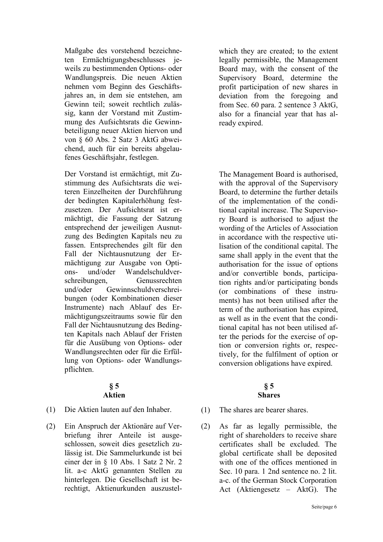Maßgabe des vorstehend bezeichneten Ermächtigungsbeschlusses jeweils zu bestimmenden Options- oder Wandlungspreis. Die neuen Aktien nehmen vom Beginn des Geschäftsjahres an, in dem sie entstehen, am Gewinn teil; soweit rechtlich zulässig, kann der Vorstand mit Zustimmung des Aufsichtsrats die Gewinnbeteiligung neuer Aktien hiervon und von § 60 Abs. 2 Satz 3 AktG abweichend, auch für ein bereits abgelaufenes Geschäftsjahr, festlegen.

Der Vorstand ist ermächtigt, mit Zustimmung des Aufsichtsrats die weiteren Einzelheiten der Durchführung der bedingten Kapitalerhöhung festzusetzen. Der Aufsichtsrat ist ermächtigt, die Fassung der Satzung entsprechend der jeweiligen Ausnutzung des Bedingten Kapitals neu zu fassen. Entsprechendes gilt für den Fall der Nichtausnutzung der Ermächtigung zur Ausgabe von Options- und/oder Wandelschuldverschreibungen, Genussrechten und/oder Gewinnschuldverschreibungen (oder Kombinationen dieser Instrumente) nach Ablauf des Ermächtigungszeitraums sowie für den Fall der Nichtausnutzung des Bedingten Kapitals nach Ablauf der Fristen für die Ausübung von Options- oder Wandlungsrechten oder für die Erfüllung von Options- oder Wandlungspflichten.

#### **§ 5 Aktien**

- (1) Die Aktien lauten auf den Inhaber. (1) The shares are bearer shares.
- (2) Ein Anspruch der Aktionäre auf Verbriefung ihrer Anteile ist ausgeschlossen, soweit dies gesetzlich zulässig ist. Die Sammelurkunde ist bei einer der in § 10 Abs. 1 Satz 2 Nr. 2 lit. a-c AktG genannten Stellen zu hinterlegen. Die Gesellschaft ist berechtigt, Aktienurkunden auszustel-

which they are created; to the extent legally permissible, the Management Board may, with the consent of the Supervisory Board, determine the profit participation of new shares in deviation from the foregoing and from Sec. 60 para. 2 sentence 3 AktG, also for a financial year that has already expired.

The Management Board is authorised, with the approval of the Supervisory Board, to determine the further details of the implementation of the conditional capital increase. The Supervisory Board is authorised to adjust the wording of the Articles of Association in accordance with the respective utilisation of the conditional capital. The same shall apply in the event that the authorisation for the issue of options and/or convertible bonds, participation rights and/or participating bonds (or combinations of these instruments) has not been utilised after the term of the authorisation has expired, as well as in the event that the conditional capital has not been utilised after the periods for the exercise of option or conversion rights or, respectively, for the fulfilment of option or conversion obligations have expired.

### **§ 5 Shares**

- 
- (2) As far as legally permissible, the right of shareholders to receive share certificates shall be excluded. The global certificate shall be deposited with one of the offices mentioned in Sec. 10 para. 1 2nd sentence no. 2 lit. a-c. of the German Stock Corporation Act (Aktiengesetz – AktG). The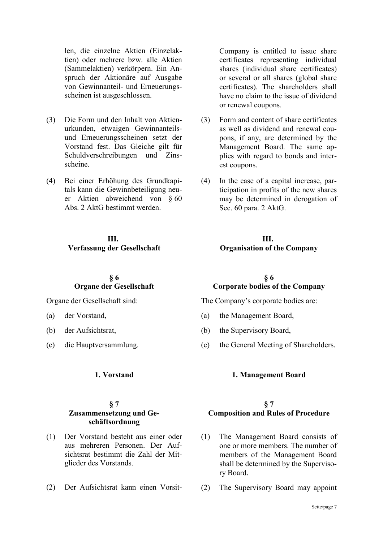len, die einzelne Aktien (Einzelaktien) oder mehrere bzw. alle Aktien (Sammelaktien) verkörpern. Ein Anspruch der Aktionäre auf Ausgabe von Gewinnanteil- und Erneuerungsscheinen ist ausgeschlossen.

- (3) Die Form und den Inhalt von Aktienurkunden, etwaigen Gewinnanteilsund Erneuerungsscheinen setzt der Vorstand fest. Das Gleiche gilt für Schuldverschreibungen und Zinsscheine.
- (4) Bei einer Erhöhung des Grundkapitals kann die Gewinnbeteiligung neuer Aktien abweichend von § 60 Abs. 2 AktG bestimmt werden.

#### **III. Verfassung der Gesellschaft**

#### **§ 6 Organe der Gesellschaft**

Organe der Gesellschaft sind:

- (a) der Vorstand,
- (b) der Aufsichtsrat,
- (c) die Hauptversammlung.

#### **§ 7 Zusammensetzung und Geschäftsordnung**

- (1) Der Vorstand besteht aus einer oder aus mehreren Personen. Der Aufsichtsrat bestimmt die Zahl der Mitglieder des Vorstands.
- (2) Der Aufsichtsrat kann einen Vorsit- (2) The Supervisory Board may appoint

Company is entitled to issue share certificates representing individual shares (individual share certificates) or several or all shares (global share certificates). The shareholders shall have no claim to the issue of dividend or renewal coupons.

- (3) Form and content of share certificates as well as dividend and renewal coupons, if any, are determined by the Management Board. The same applies with regard to bonds and interest coupons.
- (4) In the case of a capital increase, participation in profits of the new shares may be determined in derogation of Sec. 60 para. 2 AktG.

#### **III. Organisation of the Company**

### **§ 6 Corporate bodies of the Company**

The Company's corporate bodies are:

- (a) the Management Board,
- (b) the Supervisory Board,
- (c) the General Meeting of Shareholders.

#### **1. Vorstand 1. Management Board**

### **§ 7 Composition and Rules of Procedure**

- (1) The Management Board consists of one or more members. The number of members of the Management Board shall be determined by the Supervisory Board.
-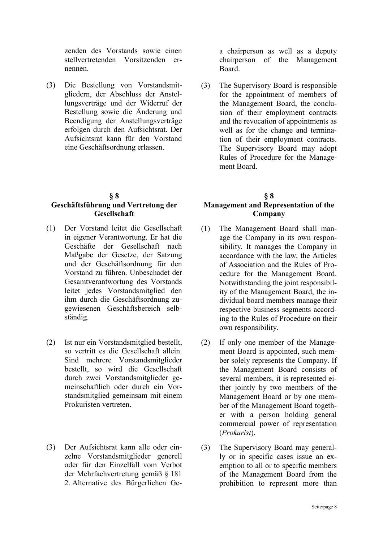zenden des Vorstands sowie einen stellvertretenden Vorsitzenden ernennen.

(3) Die Bestellung von Vorstandsmitgliedern, der Abschluss der Anstellungsverträge und der Widerruf der Bestellung sowie die Änderung und Beendigung der Anstellungsverträge erfolgen durch den Aufsichtsrat. Der Aufsichtsrat kann für den Vorstand eine Geschäftsordnung erlassen.

#### **§ 8**

#### **Geschäftsführung und Vertretung der Gesellschaft**

- (1) Der Vorstand leitet die Gesellschaft in eigener Verantwortung. Er hat die Geschäfte der Gesellschaft nach Maßgabe der Gesetze, der Satzung und der Geschäftsordnung für den Vorstand zu führen. Unbeschadet der Gesamtverantwortung des Vorstands leitet jedes Vorstandsmitglied den ihm durch die Geschäftsordnung zugewiesenen Geschäftsbereich selbständig.
- (2) Ist nur ein Vorstandsmitglied bestellt, so vertritt es die Gesellschaft allein. Sind mehrere Vorstandsmitglieder bestellt, so wird die Gesellschaft durch zwei Vorstandsmitglieder gemeinschaftlich oder durch ein Vorstandsmitglied gemeinsam mit einem Prokuristen vertreten.
- (3) Der Aufsichtsrat kann alle oder einzelne Vorstandsmitglieder generell oder für den Einzelfall vom Verbot der Mehrfachvertretung gemäß § 181 2. Alternative des Bürgerlichen Ge-

a chairperson as well as a deputy chairperson of the Management Board.

(3) The Supervisory Board is responsible for the appointment of members of the Management Board, the conclusion of their employment contracts and the revocation of appointments as well as for the change and termination of their employment contracts. The Supervisory Board may adopt Rules of Procedure for the Management Board.

# **§ 8 Management and Representation of the Company**

- (1) The Management Board shall manage the Company in its own responsibility. It manages the Company in accordance with the law, the Articles of Association and the Rules of Procedure for the Management Board. Notwithstanding the joint responsibility of the Management Board, the individual board members manage their respective business segments according to the Rules of Procedure on their own responsibility.
- (2) If only one member of the Management Board is appointed, such member solely represents the Company. If the Management Board consists of several members, it is represented either jointly by two members of the Management Board or by one member of the Management Board together with a person holding general commercial power of representation (*Prokurist*).
- (3) The Supervisory Board may generally or in specific cases issue an exemption to all or to specific members of the Management Board from the prohibition to represent more than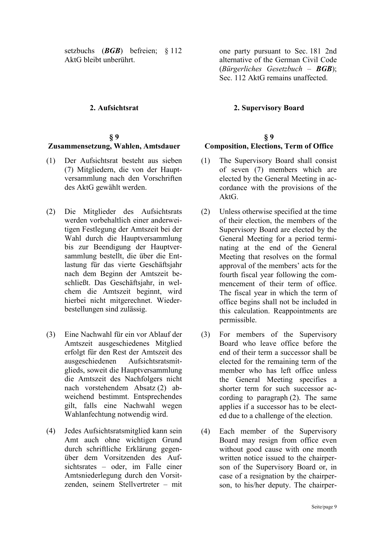setzbuchs (*BGB*) befreien; § 112 AktG bleibt unberührt.

# **§ 9**

# **Zusammensetzung, Wahlen, Amtsdauer**

- (1) Der Aufsichtsrat besteht aus sieben (7) Mitgliedern, die von der Hauptversammlung nach den Vorschriften des AktG gewählt werden.
- (2) Die Mitglieder des Aufsichtsrats werden vorbehaltlich einer anderweitigen Festlegung der Amtszeit bei der Wahl durch die Hauptversammlung bis zur Beendigung der Hauptversammlung bestellt, die über die Entlastung für das vierte Geschäftsjahr nach dem Beginn der Amtszeit beschließt. Das Geschäftsjahr, in welchem die Amtszeit beginnt, wird hierbei nicht mitgerechnet. Wiederbestellungen sind zulässig.
- (3) Eine Nachwahl für ein vor Ablauf der Amtszeit ausgeschiedenes Mitglied erfolgt für den Rest der Amtszeit des ausgeschiedenen Aufsichtsratsmitglieds, soweit die Hauptversammlung die Amtszeit des Nachfolgers nicht nach vorstehendem Absatz (2) abweichend bestimmt. Entsprechendes gilt, falls eine Nachwahl wegen Wahlanfechtung notwendig wird.
- (4) Jedes Aufsichtsratsmitglied kann sein Amt auch ohne wichtigen Grund durch schriftliche Erklärung gegenüber dem Vorsitzenden des Aufsichtsrates – oder, im Falle einer Amtsniederlegung durch den Vorsitzenden, seinem Stellvertreter – mit

one party pursuant to Sec. 181 2nd alternative of the German Civil Code (*Bürgerliches Gesetzbuch – BGB*); Sec. 112 AktG remains unaffected.

#### **2. Aufsichtsrat 2. Supervisory Board**

#### **§ 9 Composition, Elections, Term of Office**

- (1) The Supervisory Board shall consist of seven (7) members which are elected by the General Meeting in accordance with the provisions of the AktG.
- (2) Unless otherwise specified at the time of their election, the members of the Supervisory Board are elected by the General Meeting for a period terminating at the end of the General Meeting that resolves on the formal approval of the members' acts for the fourth fiscal year following the commencement of their term of office. The fiscal year in which the term of office begins shall not be included in this calculation. Reappointments are permissible.
- (3) For members of the Supervisory Board who leave office before the end of their term a successor shall be elected for the remaining term of the member who has left office unless the General Meeting specifies a shorter term for such successor according to paragraph (2). The same applies if a successor has to be elected due to a challenge of the election.
- (4) Each member of the Supervisory Board may resign from office even without good cause with one month written notice issued to the chairperson of the Supervisory Board or, in case of a resignation by the chairperson, to his/her deputy. The chairper-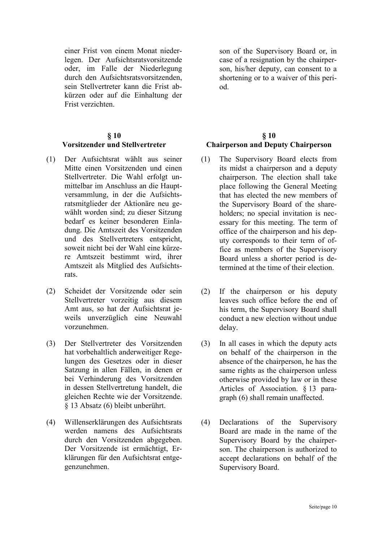einer Frist von einem Monat niederlegen. Der Aufsichtsratsvorsitzende oder, im Falle der Niederlegung durch den Aufsichtsratsvorsitzenden, sein Stellvertreter kann die Frist abkürzen oder auf die Einhaltung der Frist verzichten.

# **§ 10 Vorsitzender und Stellvertreter**

- (1) Der Aufsichtsrat wählt aus seiner Mitte einen Vorsitzenden und einen Stellvertreter. Die Wahl erfolgt unmittelbar im Anschluss an die Hauptversammlung, in der die Aufsichtsratsmitglieder der Aktionäre neu gewählt worden sind; zu dieser Sitzung bedarf es keiner besonderen Einladung. Die Amtszeit des Vorsitzenden und des Stellvertreters entspricht, soweit nicht bei der Wahl eine kürzere Amtszeit bestimmt wird, ihrer Amtszeit als Mitglied des Aufsichtsrats.
- (2) Scheidet der Vorsitzende oder sein Stellvertreter vorzeitig aus diesem Amt aus, so hat der Aufsichtsrat jeweils unverzüglich eine Neuwahl vorzunehmen.
- (3) Der Stellvertreter des Vorsitzenden hat vorbehaltlich anderweitiger Regelungen des Gesetzes oder in dieser Satzung in allen Fällen, in denen er bei Verhinderung des Vorsitzenden in dessen Stellvertretung handelt, die gleichen Rechte wie der Vorsitzende. § 13 Absatz (6) bleibt unberührt.
- (4) Willenserklärungen des Aufsichtsrats werden namens des Aufsichtsrats durch den Vorsitzenden abgegeben. Der Vorsitzende ist ermächtigt, Erklärungen für den Aufsichtsrat entgegenzunehmen.

son of the Supervisory Board or, in case of a resignation by the chairperson, his/her deputy, can consent to a shortening or to a waiver of this period.

# **§ 10 Chairperson and Deputy Chairperson**

- (1) The Supervisory Board elects from its midst a chairperson and a deputy chairperson. The election shall take place following the General Meeting that has elected the new members of the Supervisory Board of the shareholders; no special invitation is necessary for this meeting. The term of office of the chairperson and his deputy corresponds to their term of office as members of the Supervisory Board unless a shorter period is determined at the time of their election.
- (2) If the chairperson or his deputy leaves such office before the end of his term, the Supervisory Board shall conduct a new election without undue delay.
- (3) In all cases in which the deputy acts on behalf of the chairperson in the absence of the chairperson, he has the same rights as the chairperson unless otherwise provided by law or in these Articles of Association. § 13 paragraph (6) shall remain unaffected.
- (4) Declarations of the Supervisory Board are made in the name of the Supervisory Board by the chairperson. The chairperson is authorized to accept declarations on behalf of the Supervisory Board.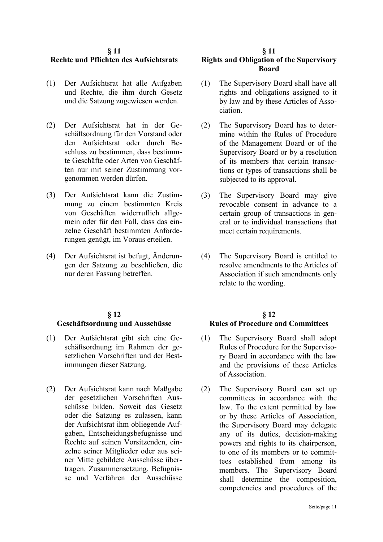#### **§ 11 Rechte und Pflichten des Aufsichtsrats**

- (1) Der Aufsichtsrat hat alle Aufgaben und Rechte, die ihm durch Gesetz und die Satzung zugewiesen werden.
- (2) Der Aufsichtsrat hat in der Geschäftsordnung für den Vorstand oder den Aufsichtsrat oder durch Beschluss zu bestimmen, dass bestimmte Geschäfte oder Arten von Geschäften nur mit seiner Zustimmung vorgenommen werden dürfen.
- (3) Der Aufsichtsrat kann die Zustimmung zu einem bestimmten Kreis von Geschäften widerruflich allgemein oder für den Fall, dass das einzelne Geschäft bestimmten Anforderungen genügt, im Voraus erteilen.
- (4) Der Aufsichtsrat ist befugt, Änderungen der Satzung zu beschließen, die nur deren Fassung betreffen.

# **§ 12**

#### **Geschäftsordnung und Ausschüsse**

- (1) Der Aufsichtsrat gibt sich eine Geschäftsordnung im Rahmen der gesetzlichen Vorschriften und der Bestimmungen dieser Satzung.
- (2) Der Aufsichtsrat kann nach Maßgabe der gesetzlichen Vorschriften Ausschüsse bilden. Soweit das Gesetz oder die Satzung es zulassen, kann der Aufsichtsrat ihm obliegende Aufgaben, Entscheidungsbefugnisse und Rechte auf seinen Vorsitzenden, einzelne seiner Mitglieder oder aus seiner Mitte gebildete Ausschüsse übertragen. Zusammensetzung, Befugnisse und Verfahren der Ausschüsse

#### **§ 11**

# **Rights and Obligation of the Supervisory Board**

- (1) The Supervisory Board shall have all rights and obligations assigned to it by law and by these Articles of Association.
- (2) The Supervisory Board has to determine within the Rules of Procedure of the Management Board or of the Supervisory Board or by a resolution of its members that certain transactions or types of transactions shall be subjected to its approval.
- (3) The Supervisory Board may give revocable consent in advance to a certain group of transactions in general or to individual transactions that meet certain requirements.
- (4) The Supervisory Board is entitled to resolve amendments to the Articles of Association if such amendments only relate to the wording.

### **§ 12 Rules of Procedure and Committees**

- (1) The Supervisory Board shall adopt Rules of Procedure for the Supervisory Board in accordance with the law and the provisions of these Articles of Association.
- (2) The Supervisory Board can set up committees in accordance with the law. To the extent permitted by law or by these Articles of Association, the Supervisory Board may delegate any of its duties, decision-making powers and rights to its chairperson, to one of its members or to committees established from among its members. The Supervisory Board shall determine the composition, competencies and procedures of the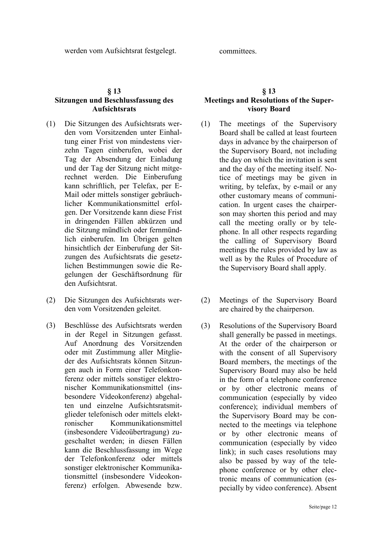# **§ 13**

### **Sitzungen und Beschlussfassung des Aufsichtsrats**

- (1) Die Sitzungen des Aufsichtsrats werden vom Vorsitzenden unter Einhaltung einer Frist von mindestens vierzehn Tagen einberufen, wobei der Tag der Absendung der Einladung und der Tag der Sitzung nicht mitgerechnet werden. Die Einberufung kann schriftlich, per Telefax, per E-Mail oder mittels sonstiger gebräuchlicher Kommunikationsmittel erfolgen. Der Vorsitzende kann diese Frist in dringenden Fällen abkürzen und die Sitzung mündlich oder fernmündlich einberufen. Im Übrigen gelten hinsichtlich der Einberufung der Sitzungen des Aufsichtsrats die gesetzlichen Bestimmungen sowie die Regelungen der Geschäftsordnung für den Aufsichtsrat.
- (2) Die Sitzungen des Aufsichtsrats werden vom Vorsitzenden geleitet.
- (3) Beschlüsse des Aufsichtsrats werden in der Regel in Sitzungen gefasst. Auf Anordnung des Vorsitzenden oder mit Zustimmung aller Mitglieder des Aufsichtsrats können Sitzungen auch in Form einer Telefonkonferenz oder mittels sonstiger elektronischer Kommunikationsmittel (insbesondere Videokonferenz) abgehalten und einzelne Aufsichtsratsmitglieder telefonisch oder mittels elektronischer Kommunikationsmittel (insbesondere Videoübertragung) zugeschaltet werden; in diesen Fällen kann die Beschlussfassung im Wege der Telefonkonferenz oder mittels sonstiger elektronischer Kommunikationsmittel (insbesondere Videokonferenz) erfolgen. Abwesende bzw.

#### **§ 13 Meetings and Resolutions of the Supervisory Board**

- (1) The meetings of the Supervisory Board shall be called at least fourteen days in advance by the chairperson of the Supervisory Board, not including the day on which the invitation is sent and the day of the meeting itself. Notice of meetings may be given in writing, by telefax, by e-mail or any other customary means of communication. In urgent cases the chairperson may shorten this period and may call the meeting orally or by telephone. In all other respects regarding the calling of Supervisory Board meetings the rules provided by law as well as by the Rules of Procedure of the Supervisory Board shall apply.
- (2) Meetings of the Supervisory Board are chaired by the chairperson.
- (3) Resolutions of the Supervisory Board shall generally be passed in meetings. At the order of the chairperson or with the consent of all Supervisory Board members, the meetings of the Supervisory Board may also be held in the form of a telephone conference or by other electronic means of communication (especially by video conference); individual members of the Supervisory Board may be connected to the meetings via telephone or by other electronic means of communication (especially by video link); in such cases resolutions may also be passed by way of the telephone conference or by other electronic means of communication (especially by video conference). Absent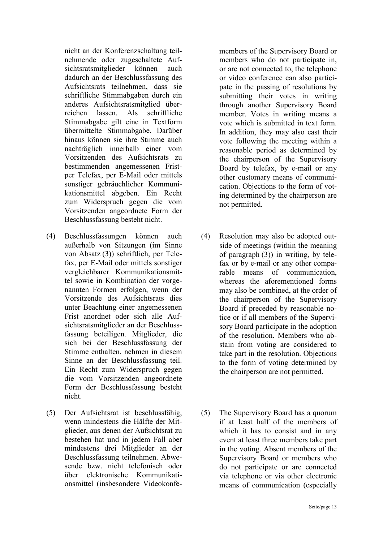nicht an der Konferenzschaltung teilnehmende oder zugeschaltete Aufsichtsratsmitglieder können auch dadurch an der Beschlussfassung des Aufsichtsrats teilnehmen, dass sie schriftliche Stimmabgaben durch ein anderes Aufsichtsratsmitglied überreichen lassen. Als schriftliche Stimmabgabe gilt eine in Textform übermittelte Stimmabgabe. Darüber hinaus können sie ihre Stimme auch nachträglich innerhalb einer vom Vorsitzenden des Aufsichtsrats zu bestimmenden angemessenen Fristper Telefax, per E-Mail oder mittels sonstiger gebräuchlicher Kommunikationsmittel abgeben. Ein Recht zum Widerspruch gegen die vom Vorsitzenden angeordnete Form der Beschlussfassung besteht nicht.

- (4) Beschlussfassungen können auch außerhalb von Sitzungen (im Sinne von Absatz (3)) schriftlich, per Telefax, per E-Mail oder mittels sonstiger vergleichbarer Kommunikationsmittel sowie in Kombination der vorgenannten Formen erfolgen, wenn der Vorsitzende des Aufsichtsrats dies unter Beachtung einer angemessenen Frist anordnet oder sich alle Aufsichtsratsmitglieder an der Beschlussfassung beteiligen. Mitglieder, die sich bei der Beschlussfassung der Stimme enthalten, nehmen in diesem Sinne an der Beschlussfassung teil. Ein Recht zum Widerspruch gegen die vom Vorsitzenden angeordnete Form der Beschlussfassung besteht nicht.
- (5) Der Aufsichtsrat ist beschlussfähig, wenn mindestens die Hälfte der Mitglieder, aus denen der Aufsichtsrat zu bestehen hat und in jedem Fall aber mindestens drei Mitglieder an der Beschlussfassung teilnehmen. Abwesende bzw. nicht telefonisch oder über elektronische Kommunikationsmittel (insbesondere Videokonfe-

members of the Supervisory Board or members who do not participate in, or are not connected to, the telephone or video conference can also participate in the passing of resolutions by submitting their votes in writing through another Supervisory Board member. Votes in writing means a vote which is submitted in text form. In addition, they may also cast their vote following the meeting within a reasonable period as determined by the chairperson of the Supervisory Board by telefax, by e-mail or any other customary means of communication. Objections to the form of voting determined by the chairperson are not permitted.

- (4) Resolution may also be adopted outside of meetings (within the meaning of paragraph (3)) in writing, by telefax or by e-mail or any other comparable means of communication, whereas the aforementioned forms may also be combined, at the order of the chairperson of the Supervisory Board if preceded by reasonable notice or if all members of the Supervisory Board participate in the adoption of the resolution. Members who abstain from voting are considered to take part in the resolution. Objections to the form of voting determined by the chairperson are not permitted.
- (5) The Supervisory Board has a quorum if at least half of the members of which it has to consist and in any event at least three members take part in the voting. Absent members of the Supervisory Board or members who do not participate or are connected via telephone or via other electronic means of communication (especially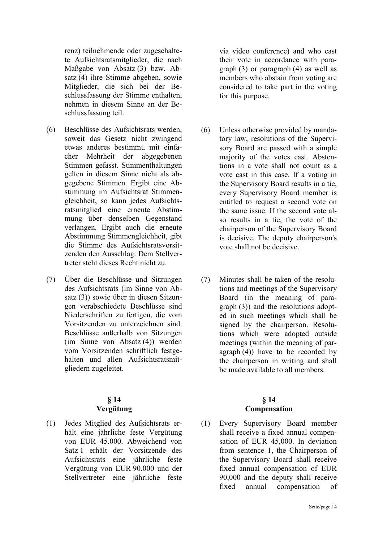renz) teilnehmende oder zugeschaltete Aufsichtsratsmitglieder, die nach Maßgabe von Absatz (3) bzw. Absatz (4) ihre Stimme abgeben, sowie Mitglieder, die sich bei der Beschlussfassung der Stimme enthalten, nehmen in diesem Sinne an der Beschlussfassung teil.

- (6) Beschlüsse des Aufsichtsrats werden, soweit das Gesetz nicht zwingend etwas anderes bestimmt, mit einfacher Mehrheit der abgegebenen Stimmen gefasst. Stimmenthaltungen gelten in diesem Sinne nicht als abgegebene Stimmen. Ergibt eine Abstimmung im Aufsichtsrat Stimmengleichheit, so kann jedes Aufsichtsratsmitglied eine erneute Abstimmung über denselben Gegenstand verlangen. Ergibt auch die erneute Abstimmung Stimmengleichheit, gibt die Stimme des Aufsichtsratsvorsitzenden den Ausschlag. Dem Stellvertreter steht dieses Recht nicht zu.
- (7) Über die Beschlüsse und Sitzungen des Aufsichtsrats (im Sinne von Absatz (3)) sowie über in diesen Sitzungen verabschiedete Beschlüsse sind Niederschriften zu fertigen, die vom Vorsitzenden zu unterzeichnen sind. Beschlüsse außerhalb von Sitzungen (im Sinne von Absatz (4)) werden vom Vorsitzenden schriftlich festgehalten und allen Aufsichtsratsmitgliedern zugeleitet.

### **§ 14 Vergütung**

(1) Jedes Mitglied des Aufsichtsrats erhält eine jährliche feste Vergütung von EUR 45.000. Abweichend von Satz 1 erhält der Vorsitzende des Aufsichtsrats eine jährliche feste Vergütung von EUR 90.000 und der Stellvertreter eine jährliche feste

via video conference) and who cast their vote in accordance with paragraph (3) or paragraph (4) as well as members who abstain from voting are considered to take part in the voting for this purpose.

- (6) Unless otherwise provided by mandatory law, resolutions of the Supervisory Board are passed with a simple majority of the votes cast. Abstentions in a vote shall not count as a vote cast in this case. If a voting in the Supervisory Board results in a tie, every Supervisory Board member is entitled to request a second vote on the same issue. If the second vote also results in a tie, the vote of the chairperson of the Supervisory Board is decisive. The deputy chairperson's vote shall not be decisive.
- (7) Minutes shall be taken of the resolutions and meetings of the Supervisory Board (in the meaning of paragraph (3)) and the resolutions adopted in such meetings which shall be signed by the chairperson. Resolutions which were adopted outside meetings (within the meaning of paragraph (4)) have to be recorded by the chairperson in writing and shall be made available to all members.

#### **§ 14 Compensation**

(1) Every Supervisory Board member shall receive a fixed annual compensation of EUR 45,000. In deviation from sentence 1, the Chairperson of the Supervisory Board shall receive fixed annual compensation of EUR 90,000 and the deputy shall receive fixed annual compensation of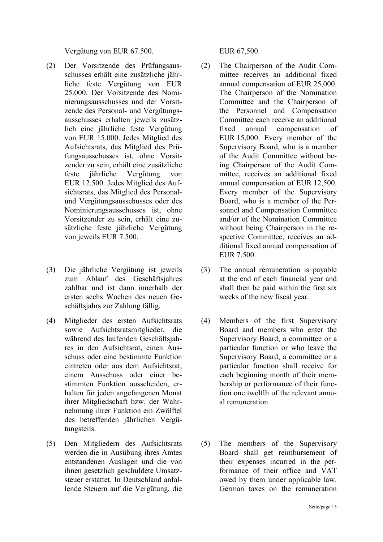Vergütung von EUR 67.500. EUR 67,500.

- (2) Der Vorsitzende des Prüfungsausschusses erhält eine zusätzliche jährliche feste Vergütung von EUR 25.000. Der Vorsitzende des Nominierungsausschusses und der Vorsitzende des Personal- und Vergütungsausschusses erhalten jeweils zusätzlich eine jährliche feste Vergütung von EUR 15.000. Jedes Mitglied des Aufsichtsrats, das Mitglied des Prüfungsausschusses ist, ohne Vorsitzender zu sein, erhält eine zusätzliche feste jährliche Vergütung von EUR 12.500. Jedes Mitglied des Aufsichtsrats, das Mitglied des Personalund Vergütungsausschusses oder des Nominierungsausschusses ist, ohne Vorsitzender zu sein, erhält eine zusätzliche feste jährliche Vergütung von jeweils EUR 7.500.
- (3) Die jährliche Vergütung ist jeweils zum Ablauf des Geschäftsjahres zahlbar und ist dann innerhalb der ersten sechs Wochen des neuen Geschäftsjahrs zur Zahlung fällig.
- (4) Mitglieder des ersten Aufsichtsrats sowie Aufsichtsratsmitglieder, die während des laufenden Geschäftsjahres in den Aufsichtsrat, einen Ausschuss oder eine bestimmte Funktion eintreten oder aus dem Aufsichtsrat, einem Ausschuss oder einer bestimmten Funktion ausscheiden, erhalten für jeden angefangenen Monat ihrer Mitgliedschaft bzw. der Wahrnehmung ihrer Funktion ein Zwölftel des betreffenden jährlichen Vergütungsteils.
- (5) Den Mitgliedern des Aufsichtsrats werden die in Ausübung ihres Amtes entstandenen Auslagen und die von ihnen gesetzlich geschuldete Umsatzsteuer erstattet. In Deutschland anfallende Steuern auf die Vergütung, die

- (2) The Chairperson of the Audit Committee receives an additional fixed annual compensation of EUR 25,000. The Chairperson of the Nomination Committee and the Chairperson of the Personnel and Compensation Committee each receive an additional fixed annual compensation of EUR 15,000. Every member of the Supervisory Board, who is a member of the Audit Committee without being Chairperson of the Audit Committee, receives an additional fixed annual compensation of EUR 12,500. Every member of the Supervisory Board, who is a member of the Personnel and Compensation Committee and/or of the Nomination Committee without being Chairperson in the respective Committee, receives an additional fixed annual compensation of EUR 7,500.
- (3) The annual remuneration is payable at the end of each financial year and shall then be paid within the first six weeks of the new fiscal year.
- (4) Members of the first Supervisory Board and members who enter the Supervisory Board, a committee or a particular function or who leave the Supervisory Board, a committee or a particular function shall receive for each beginning month of their membership or performance of their function one twelfth of the relevant annual remuneration.
- (5) The members of the Supervisory Board shall get reimbursement of their expenses incurred in the performance of their office and VAT owed by them under applicable law. German taxes on the remuneration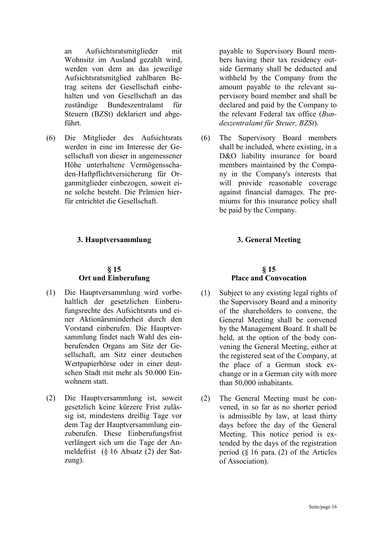an Aufsichtsratsmitglieder mit Wohnsitz im Ausland gezahlt wird, werden von dem an das jeweilige Aufsichtsratsmitglied zahlbaren Betrag seitens der Gesellschaft einbehalten und von Gesellschaft an das zuständige Bundeszentralamt für Steuern (BZSt) deklariert und abgeführt.

(6) Die Mitglieder des Aufsichtsrats werden in eine im Interesse der Gesellschaft von dieser in angemessener Höhe unterhaltene Vermögensschaden-Haftpflichtversicherung für Organmitglieder einbezogen, soweit eine solche besteht. Die Prämien hierfür entrichtet die Gesellschaft.

#### **3. Hauptversammlung 3. General Meeting**

#### **§ 15 Ort und Einberufung**

- (1) Die Hauptversammlung wird vorbehaltlich der gesetzlichen Einberufungsrechte des Aufsichtsrats und einer Aktionärsminderheit durch den Vorstand einberufen. Die Hauptversammlung findet nach Wahl des einberufenden Organs am Sitz der Gesellschaft, am Sitz einer deutschen Wertpapierbörse oder in einer deutschen Stadt mit mehr als 50.000 Einwohnern statt.
- (2) Die Hauptversammlung ist, soweit gesetzlich keine kürzere Frist zulässig ist, mindestens dreißig Tage vor dem Tag der Hauptversammlung einzuberufen. Diese Einberufungsfrist verlängert sich um die Tage der Anmeldefrist (§ 16 Absatz (2) der Satzung).

payable to Supervisory Board members having their tax residency outside Germany shall be deducted and withheld by the Company from the amount payable to the relevant supervisory board member and shall be declared and paid by the Company to the relevant Federal tax office (*Bundeszentralamt für Steuer, BZSt*).

(6) The Supervisory Board members shall be included, where existing, in a D&O liability insurance for board members maintained by the Company in the Company's interests that will provide reasonable coverage against financial damages. The premiums for this insurance policy shall be paid by the Company.

### **§ 15 Place and Convocation**

- (1) Subject to any existing legal rights of the Supervisory Board and a minority of the shareholders to convene, the General Meeting shall be convened by the Management Board. It shall be held, at the option of the body convening the General Meeting, either at the registered seat of the Company, at the place of a German stock exchange or in a German city with more than 50,000 inhabitants.
- (2) The General Meeting must be convened, in so far as no shorter period is admissible by law, at least thirty days before the day of the General Meeting. This notice period is extended by the days of the registration period  $(\S 16$  para. (2) of the Articles of Association).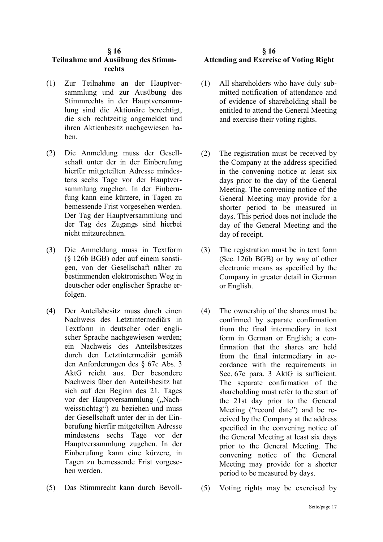# **§ 16**

# **Teilnahme und Ausübung des Stimmrechts**

- (1) Zur Teilnahme an der Hauptversammlung und zur Ausübung des Stimmrechts in der Hauptversammlung sind die Aktionäre berechtigt, die sich rechtzeitig angemeldet und ihren Aktienbesitz nachgewiesen haben.
- (2) Die Anmeldung muss der Gesellschaft unter der in der Einberufung hierfür mitgeteilten Adresse mindestens sechs Tage vor der Hauptversammlung zugehen. In der Einberufung kann eine kürzere, in Tagen zu bemessende Frist vorgesehen werden. Der Tag der Hauptversammlung und der Tag des Zugangs sind hierbei nicht mitzurechnen.
- (3) Die Anmeldung muss in Textform (§ 126b BGB) oder auf einem sonstigen, von der Gesellschaft näher zu bestimmenden elektronischen Weg in deutscher oder englischer Sprache erfolgen.
- (4) Der Anteilsbesitz muss durch einen Nachweis des Letztintermediärs in Textform in deutscher oder englischer Sprache nachgewiesen werden; ein Nachweis des Anteilsbesitzes durch den Letztintermediär gemäß den Anforderungen des § 67c Abs. 3 AktG reicht aus. Der besondere Nachweis über den Anteilsbesitz hat sich auf den Beginn des 21. Tages vor der Hauptversammlung ("Nachweisstichtag") zu beziehen und muss der Gesellschaft unter der in der Einberufung hierfür mitgeteilten Adresse mindestens sechs Tage vor der Hauptversammlung zugehen. In der Einberufung kann eine kürzere, in Tagen zu bemessende Frist vorgesehen werden.
- (5) Das Stimmrecht kann durch Bevoll- (5) Voting rights may be exercised by

# **§ 16 Attending and Exercise of Voting Right**

- (1) All shareholders who have duly submitted notification of attendance and of evidence of shareholding shall be entitled to attend the General Meeting and exercise their voting rights.
- (2) The registration must be received by the Company at the address specified in the convening notice at least six days prior to the day of the General Meeting. The convening notice of the General Meeting may provide for a shorter period to be measured in days. This period does not include the day of the General Meeting and the day of receipt.
- (3) The registration must be in text form (Sec. 126b BGB) or by way of other electronic means as specified by the Company in greater detail in German or English.
- (4) The ownership of the shares must be confirmed by separate confirmation from the final intermediary in text form in German or English; a confirmation that the shares are held from the final intermediary in accordance with the requirements in Sec. 67c para. 3 AktG is sufficient. The separate confirmation of the shareholding must refer to the start of the 21st day prior to the General Meeting ("record date") and be received by the Company at the address specified in the convening notice of the General Meeting at least six days prior to the General Meeting. The convening notice of the General Meeting may provide for a shorter period to be measured by days.
-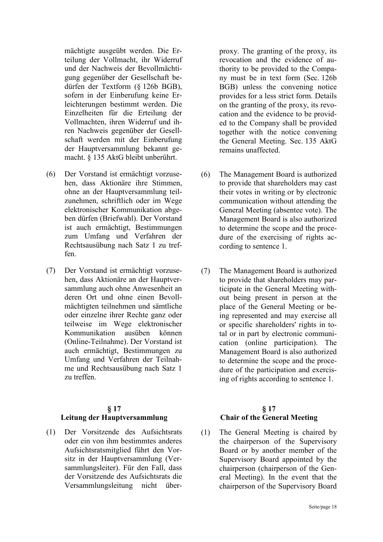mächtigte ausgeübt werden. Die Erteilung der Vollmacht, ihr Widerruf und der Nachweis der Bevollmächtigung gegenüber der Gesellschaft bedürfen der Textform (§ 126b BGB), sofern in der Einberufung keine Erleichterungen bestimmt werden. Die Einzelheiten für die Erteilung der Vollmachten, ihren Widerruf und ihren Nachweis gegenüber der Gesellschaft werden mit der Einberufung der Hauptversammlung bekannt gemacht. § 135 AktG bleibt unberührt.

- (6) Der Vorstand ist ermächtigt vorzusehen, dass Aktionäre ihre Stimmen, ohne an der Hauptversammlung teilzunehmen, schriftlich oder im Wege elektronischer Kommunikation abgeben dürfen (Briefwahl). Der Vorstand ist auch ermächtigt, Bestimmungen zum Umfang und Verfahren der Rechtsausübung nach Satz 1 zu treffen.
- (7) Der Vorstand ist ermächtigt vorzusehen, dass Aktionäre an der Hauptversammlung auch ohne Anwesenheit an deren Ort und ohne einen Bevollmächtigten teilnehmen und sämtliche oder einzelne ihrer Rechte ganz oder teilweise im Wege elektronischer Kommunikation ausüben können (Online-Teilnahme). Der Vorstand ist auch ermächtigt, Bestimmungen zu Umfang und Verfahren der Teilnahme und Rechtsausübung nach Satz 1 zu treffen.

#### **§ 17**

#### **Leitung der Hauptversammlung**

(1) Der Vorsitzende des Aufsichtsrats oder ein von ihm bestimmtes anderes Aufsichtsratsmitglied führt den Vorsitz in der Hauptversammlung (Versammlungsleiter). Für den Fall, dass der Vorsitzende des Aufsichtsrats die Versammlungsleitung nicht überproxy. The granting of the proxy, its revocation and the evidence of authority to be provided to the Company must be in text form (Sec. 126b BGB) unless the convening notice provides for a less strict form. Details on the granting of the proxy, its revocation and the evidence to be provided to the Company shall be provided together with the notice convening the General Meeting. Sec. 135 AktG remains unaffected.

- (6) The Management Board is authorized to provide that shareholders may cast their votes in writing or by electronic communication without attending the General Meeting (absentee vote). The Management Board is also authorized to determine the scope and the procedure of the exercising of rights according to sentence 1.
- (7) The Management Board is authorized to provide that shareholders may participate in the General Meeting without being present in person at the place of the General Meeting or being represented and may exercise all or specific shareholders' rights in total or in part by electronic communication (online participation). The Management Board is also authorized to determine the scope and the procedure of the participation and exercising of rights according to sentence 1.

# **§ 17 Chair of the General Meeting**

(1) The General Meeting is chaired by the chairperson of the Supervisory Board or by another member of the Supervisory Board appointed by the chairperson (chairperson of the General Meeting). In the event that the chairperson of the Supervisory Board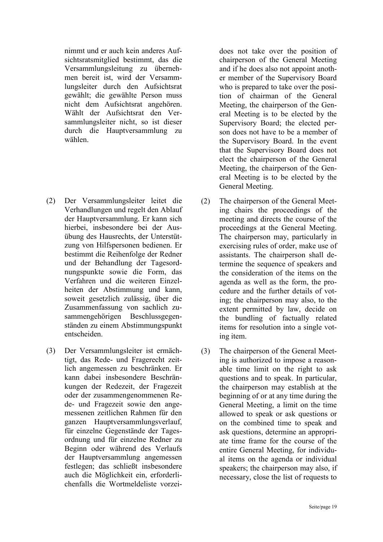nimmt und er auch kein anderes Aufsichtsratsmitglied bestimmt, das die Versammlungsleitung zu übernehmen bereit ist, wird der Versammlungsleiter durch den Aufsichtsrat gewählt; die gewählte Person muss nicht dem Aufsichtsrat angehören. Wählt der Aufsichtsrat den Versammlungsleiter nicht, so ist dieser durch die Hauptversammlung zu wählen.

- (2) Der Versammlungsleiter leitet die Verhandlungen und regelt den Ablauf der Hauptversammlung. Er kann sich hierbei, insbesondere bei der Ausübung des Hausrechts, der Unterstützung von Hilfspersonen bedienen. Er bestimmt die Reihenfolge der Redner und der Behandlung der Tagesordnungspunkte sowie die Form, das Verfahren und die weiteren Einzelheiten der Abstimmung und kann, soweit gesetzlich zulässig, über die Zusammenfassung von sachlich zusammengehörigen Beschlussgegenständen zu einem Abstimmungspunkt entscheiden.
- (3) Der Versammlungsleiter ist ermächtigt, das Rede- und Fragerecht zeitlich angemessen zu beschränken. Er kann dabei insbesondere Beschränkungen der Redezeit, der Fragezeit oder der zusammengenommenen Rede- und Fragezeit sowie den angemessenen zeitlichen Rahmen für den ganzen Hauptversammlungsverlauf, für einzelne Gegenstände der Tagesordnung und für einzelne Redner zu Beginn oder während des Verlaufs der Hauptversammlung angemessen festlegen; das schließt insbesondere auch die Möglichkeit ein, erforderlichenfalls die Wortmeldeliste vorzei-

does not take over the position of chairperson of the General Meeting and if he does also not appoint another member of the Supervisory Board who is prepared to take over the position of chairman of the General Meeting, the chairperson of the General Meeting is to be elected by the Supervisory Board; the elected person does not have to be a member of the Supervisory Board. In the event that the Supervisory Board does not elect the chairperson of the General Meeting, the chairperson of the General Meeting is to be elected by the General Meeting.

- (2) The chairperson of the General Meeting chairs the proceedings of the meeting and directs the course of the proceedings at the General Meeting. The chairperson may, particularly in exercising rules of order, make use of assistants. The chairperson shall determine the sequence of speakers and the consideration of the items on the agenda as well as the form, the procedure and the further details of voting; the chairperson may also, to the extent permitted by law, decide on the bundling of factually related items for resolution into a single voting item.
- (3) The chairperson of the General Meeting is authorized to impose a reasonable time limit on the right to ask questions and to speak. In particular, the chairperson may establish at the beginning of or at any time during the General Meeting, a limit on the time allowed to speak or ask questions or on the combined time to speak and ask questions, determine an appropriate time frame for the course of the entire General Meeting, for individual items on the agenda or individual speakers; the chairperson may also, if necessary, close the list of requests to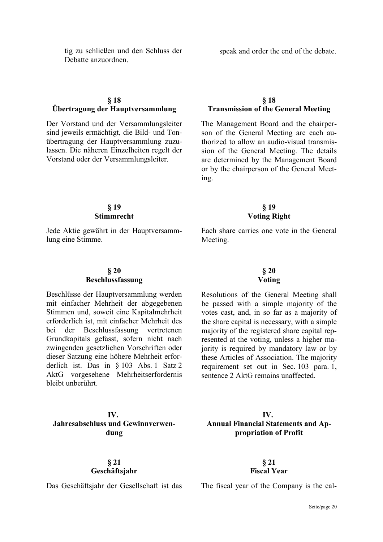#### tig zu schließen und den Schluss der Debatte anzuordnen.

### **§ 18 Übertragung der Hauptversammlung**

Der Vorstand und der Versammlungsleiter sind jeweils ermächtigt, die Bild- und Tonübertragung der Hauptversammlung zuzulassen. Die näheren Einzelheiten regelt der Vorstand oder der Versammlungsleiter.

#### **§ 18 Transmission of the General Meeting**

The Management Board and the chairperson of the General Meeting are each authorized to allow an audio-visual transmission of the General Meeting. The details are determined by the Management Board or by the chairperson of the General Meeting.

> **§ 19 Voting Right**

### **§ 19 Stimmrecht**

Jede Aktie gewährt in der Hauptversammlung eine Stimme.

# Each share carries one vote in the General Meeting.

#### **§ 20 Beschlussfassung**

Beschlüsse der Hauptversammlung werden mit einfacher Mehrheit der abgegebenen Stimmen und, soweit eine Kapitalmehrheit erforderlich ist, mit einfacher Mehrheit des bei der Beschlussfassung vertretenen Grundkapitals gefasst, sofern nicht nach zwingenden gesetzlichen Vorschriften oder dieser Satzung eine höhere Mehrheit erforderlich ist. Das in § 103 Abs. 1 Satz 2 AktG vorgesehene Mehrheitserfordernis bleibt unberührt.

# **IV. Jahresabschluss und Gewinnverwendung**

#### **§ 21 Geschäftsjahr**

# **Voting**

Resolutions of the General Meeting shall be passed with a simple majority of the votes cast, and, in so far as a majority of the share capital is necessary, with a simple majority of the registered share capital represented at the voting, unless a higher majority is required by mandatory law or by these Articles of Association. The majority requirement set out in Sec. 103 para. 1, sentence 2 AktG remains unaffected.

## **IV. Annual Financial Statements and Appropriation of Profit**

**§ 21 Fiscal Year** 

Das Geschäftsjahr der Gesellschaft ist das The fiscal year of the Company is the cal-

# **§ 20**

speak and order the end of the debate.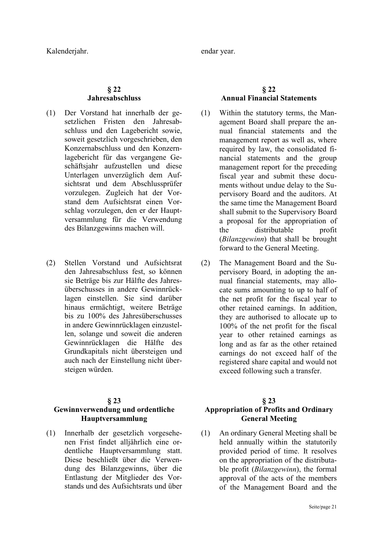Kalenderjahr. endar year.

### **§ 22 Jahresabschluss**

- (1) Der Vorstand hat innerhalb der gesetzlichen Fristen den Jahresabschluss und den Lagebericht sowie, soweit gesetzlich vorgeschrieben, den Konzernabschluss und den Konzernlagebericht für das vergangene Geschäftsjahr aufzustellen und diese Unterlagen unverzüglich dem Aufsichtsrat und dem Abschlussprüfer vorzulegen. Zugleich hat der Vorstand dem Aufsichtsrat einen Vorschlag vorzulegen, den er der Hauptversammlung für die Verwendung des Bilanzgewinns machen will.
- (2) Stellen Vorstand und Aufsichtsrat den Jahresabschluss fest, so können sie Beträge bis zur Hälfte des Jahresüberschusses in andere Gewinnrücklagen einstellen. Sie sind darüber hinaus ermächtigt, weitere Beträge bis zu 100% des Jahresüberschusses in andere Gewinnrücklagen einzustellen, solange und soweit die anderen Gewinnrücklagen die Hälfte des Grundkapitals nicht übersteigen und auch nach der Einstellung nicht übersteigen würden.

#### **§ 23**

# **Gewinnverwendung und ordentliche Hauptversammlung**

(1) Innerhalb der gesetzlich vorgesehenen Frist findet alljährlich eine ordentliche Hauptversammlung statt. Diese beschließt über die Verwendung des Bilanzgewinns, über die Entlastung der Mitglieder des Vorstands und des Aufsichtsrats und über

# **§ 22 Annual Financial Statements**

- (1) Within the statutory terms, the Management Board shall prepare the annual financial statements and the management report as well as, where required by law, the consolidated financial statements and the group management report for the preceding fiscal year and submit these documents without undue delay to the Supervisory Board and the auditors. At the same time the Management Board shall submit to the Supervisory Board a proposal for the appropriation of the distributable profit (*Bilanzgewinn*) that shall be brought forward to the General Meeting.
- (2) The Management Board and the Supervisory Board, in adopting the annual financial statements, may allocate sums amounting to up to half of the net profit for the fiscal year to other retained earnings. In addition, they are authorised to allocate up to 100% of the net profit for the fiscal year to other retained earnings as long and as far as the other retained earnings do not exceed half of the registered share capital and would not exceed following such a transfer.

# **§ 23 Appropriation of Profits and Ordinary General Meeting**

(1) An ordinary General Meeting shall be held annually within the statutorily provided period of time. It resolves on the appropriation of the distributable profit (*Bilanzgewinn*), the formal approval of the acts of the members of the Management Board and the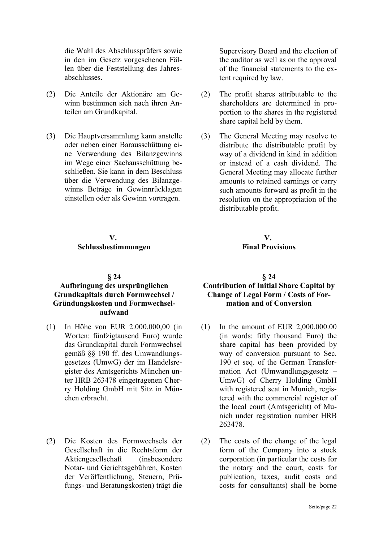die Wahl des Abschlussprüfers sowie in den im Gesetz vorgesehenen Fällen über die Feststellung des Jahresabschlusses.

- (2) Die Anteile der Aktionäre am Gewinn bestimmen sich nach ihren Anteilen am Grundkapital.
- (3) Die Hauptversammlung kann anstelle oder neben einer Barausschüttung eine Verwendung des Bilanzgewinns im Wege einer Sachausschüttung beschließen. Sie kann in dem Beschluss über die Verwendung des Bilanzgewinns Beträge in Gewinnrücklagen einstellen oder als Gewinn vortragen.

#### **V. Schlussbestimmungen**

#### **§ 24**

### **Aufbringung des ursprünglichen Grundkapitals durch Formwechsel / Gründungskosten und Formwechselaufwand**

- (1) In Höhe von EUR 2.000.000,00 (in Worten: fünfzigtausend Euro) wurde das Grundkapital durch Formwechsel gemäß §§ 190 ff. des Umwandlungsgesetzes (UmwG) der im Handelsregister des Amtsgerichts München unter HRB 263478 eingetragenen Cherry Holding GmbH mit Sitz in München erbracht.
- (2) Die Kosten des Formwechsels der Gesellschaft in die Rechtsform der Aktiengesellschaft (insbesondere Notar- und Gerichtsgebühren, Kosten der Veröffentlichung, Steuern, Prüfungs- und Beratungskosten) trägt die

Supervisory Board and the election of the auditor as well as on the approval of the financial statements to the extent required by law.

- (2) The profit shares attributable to the shareholders are determined in proportion to the shares in the registered share capital held by them.
- (3) The General Meeting may resolve to distribute the distributable profit by way of a dividend in kind in addition or instead of a cash dividend. The General Meeting may allocate further amounts to retained earnings or carry such amounts forward as profit in the resolution on the appropriation of the distributable profit.

**V. Final Provisions** 

#### **§ 24 Contribution of Initial Share Capital by Change of Legal Form / Costs of Formation and of Conversion**

- (1) In the amount of EUR 2,000,000.00 (in words: fifty thousand Euro) the share capital has been provided by way of conversion pursuant to Sec. 190 et seq. of the German Transformation Act (Umwandlungsgesetz – UmwG) of Cherry Holding GmbH with registered seat in Munich, registered with the commercial register of the local court (Amtsgericht) of Munich under registration number HRB 263478.
- (2) The costs of the change of the legal form of the Company into a stock corporation (in particular the costs for the notary and the court, costs for publication, taxes, audit costs and costs for consultants) shall be borne